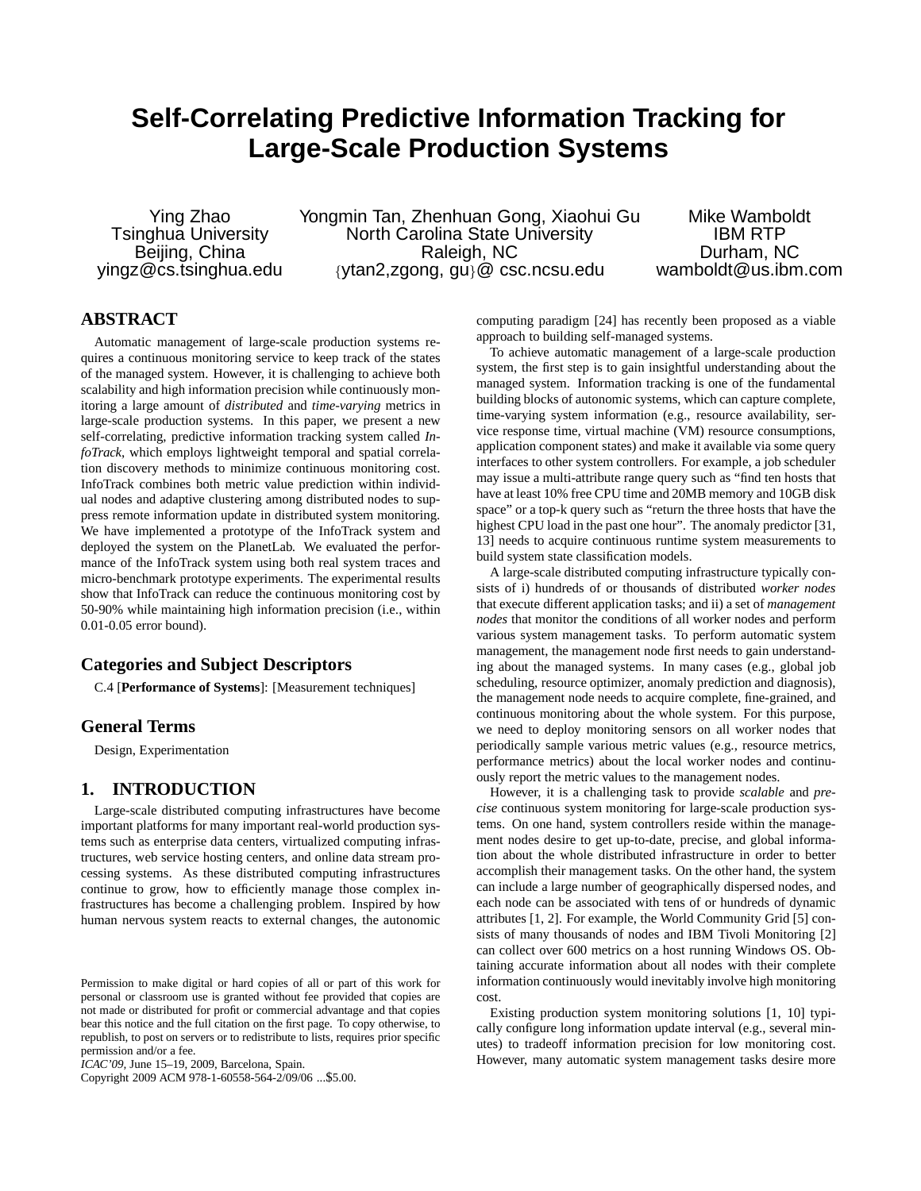# **Self-Correlating Predictive Information Tracking for Large-Scale Production Systems**

Beijing, China

Ying Zhao Yongmin Tan, Zhenhuan Gong, Xiaohui Gu Mike Wamboldt<br>Tsinghua University North Carolina State University The Mustam RTP Tsinghua University North Carolina State University IBM RTP yingz@cs.tsinghua.edu {ytan2,zgong, gu}@ csc.ncsu.edu wamboldt@us.ibm.com

# **ABSTRACT**

Automatic management of large-scale production systems requires a continuous monitoring service to keep track of the states of the managed system. However, it is challenging to achieve both scalability and high information precision while continuously monitoring a large amount of *distributed* and *time-varying* metrics in large-scale production systems. In this paper, we present a new self-correlating, predictive information tracking system called *InfoTrack*, which employs lightweight temporal and spatial correlation discovery methods to minimize continuous monitoring cost. InfoTrack combines both metric value prediction within individual nodes and adaptive clustering among distributed nodes to suppress remote information update in distributed system monitoring. We have implemented a prototype of the InfoTrack system and deployed the system on the PlanetLab. We evaluated the performance of the InfoTrack system using both real system traces and micro-benchmark prototype experiments. The experimental results show that InfoTrack can reduce the continuous monitoring cost by 50-90% while maintaining high information precision (i.e., within 0.01-0.05 error bound).

# **Categories and Subject Descriptors**

C.4 [**Performance of Systems**]: [Measurement techniques]

# **General Terms**

Design, Experimentation

# **1. INTRODUCTION**

Large-scale distributed computing infrastructures have become important platforms for many important real-world production systems such as enterprise data centers, virtualized computing infrastructures, web service hosting centers, and online data stream processing systems. As these distributed computing infrastructures continue to grow, how to efficiently manage those complex infrastructures has become a challenging problem. Inspired by how human nervous system reacts to external changes, the autonomic

Copyright 2009 ACM 978-1-60558-564-2/09/06 ...\$5.00.

computing paradigm [24] has recently been proposed as a viable approach to building self-managed systems.

To achieve automatic management of a large-scale production system, the first step is to gain insightful understanding about the managed system. Information tracking is one of the fundamental building blocks of autonomic systems, which can capture complete, time-varying system information (e.g., resource availability, service response time, virtual machine (VM) resource consumptions, application component states) and make it available via some query interfaces to other system controllers. For example, a job scheduler may issue a multi-attribute range query such as "find ten hosts that have at least 10% free CPU time and 20MB memory and 10GB disk space" or a top-k query such as "return the three hosts that have the highest CPU load in the past one hour". The anomaly predictor [31, 13] needs to acquire continuous runtime system measurements to build system state classification models.

A large-scale distributed computing infrastructure typically consists of i) hundreds of or thousands of distributed *worker nodes* that execute different application tasks; and ii) a set of *management nodes* that monitor the conditions of all worker nodes and perform various system management tasks. To perform automatic system management, the management node first needs to gain understanding about the managed systems. In many cases (e.g., global job scheduling, resource optimizer, anomaly prediction and diagnosis), the management node needs to acquire complete, fine-grained, and continuous monitoring about the whole system. For this purpose, we need to deploy monitoring sensors on all worker nodes that periodically sample various metric values (e.g., resource metrics, performance metrics) about the local worker nodes and continuously report the metric values to the management nodes.

However, it is a challenging task to provide *scalable* and *precise* continuous system monitoring for large-scale production systems. On one hand, system controllers reside within the management nodes desire to get up-to-date, precise, and global information about the whole distributed infrastructure in order to better accomplish their management tasks. On the other hand, the system can include a large number of geographically dispersed nodes, and each node can be associated with tens of or hundreds of dynamic attributes [1, 2]. For example, the World Community Grid [5] consists of many thousands of nodes and IBM Tivoli Monitoring [2] can collect over 600 metrics on a host running Windows OS. Obtaining accurate information about all nodes with their complete information continuously would inevitably involve high monitoring cost.

Existing production system monitoring solutions [1, 10] typically configure long information update interval (e.g., several minutes) to tradeoff information precision for low monitoring cost. However, many automatic system management tasks desire more

Permission to make digital or hard copies of all or part of this work for personal or classroom use is granted without fee provided that copies are not made or distributed for profit or commercial advantage and that copies bear this notice and the full citation on the first page. To copy otherwise, to republish, to post on servers or to redistribute to lists, requires prior specific permission and/or a fee.

*ICAC'09,* June 15–19, 2009, Barcelona, Spain.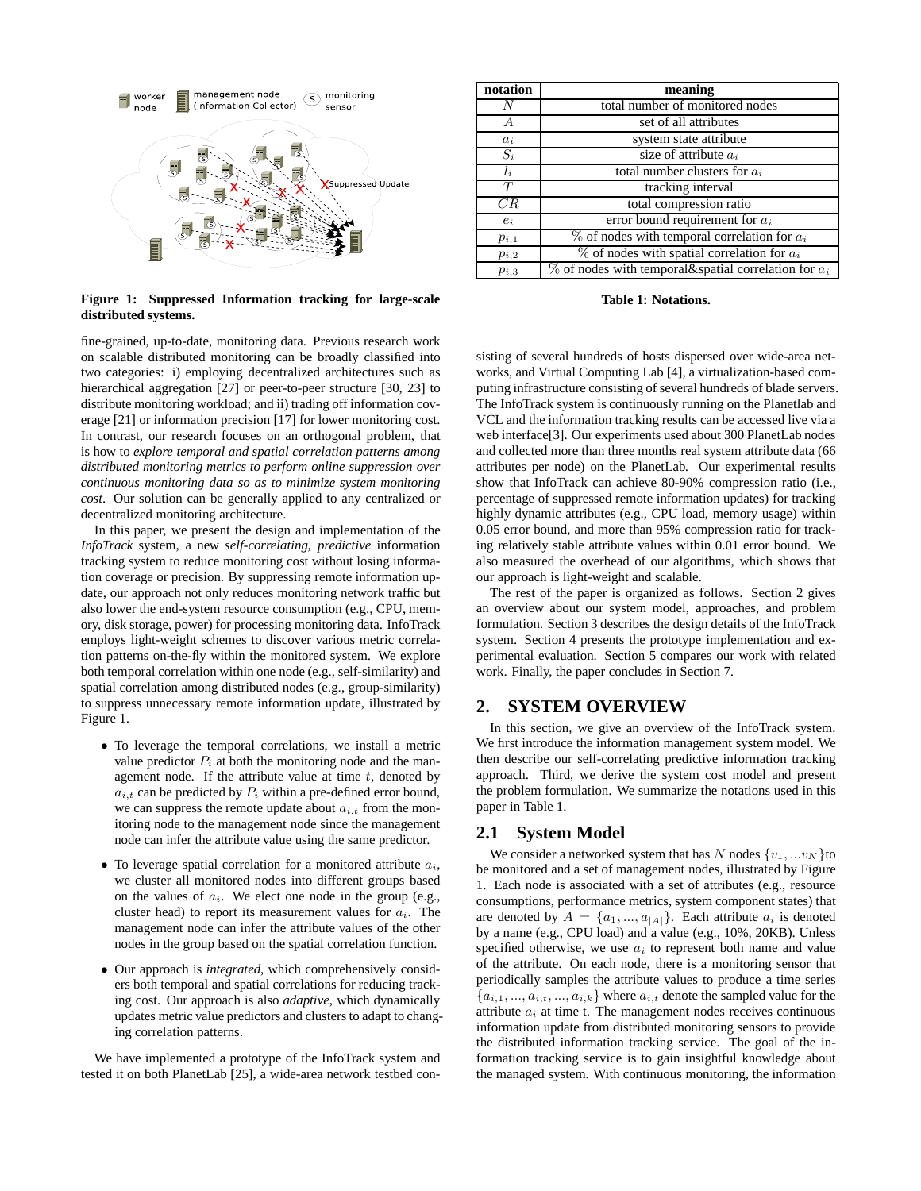

**Figure 1: Suppressed Information tracking for large-scale distributed systems.**

fine-grained, up-to-date, monitoring data. Previous research work on scalable distributed monitoring can be broadly classified into two categories: i) employing decentralized architectures such as hierarchical aggregation [27] or peer-to-peer structure [30, 23] to distribute monitoring workload; and ii) trading off information coverage [21] or information precision [17] for lower monitoring cost. In contrast, our research focuses on an orthogonal problem, that is how to *explore temporal and spatial correlation patterns among distributed monitoring metrics to perform online suppression over continuous monitoring data so as to minimize system monitoring cost*. Our solution can be generally applied to any centralized or decentralized monitoring architecture.

In this paper, we present the design and implementation of the *InfoTrack* system, a new *self-correlating, predictive* information tracking system to reduce monitoring cost without losing information coverage or precision. By suppressing remote information update, our approach not only reduces monitoring network traffic but also lower the end-system resource consumption (e.g., CPU, memory, disk storage, power) for processing monitoring data. InfoTrack employs light-weight schemes to discover various metric correlation patterns on-the-fly within the monitored system. We explore both temporal correlation within one node (e.g., self-similarity) and spatial correlation among distributed nodes (e.g., group-similarity) to suppress unnecessary remote information update, illustrated by Figure 1.

- To leverage the temporal correlations, we install a metric value predictor  $P_i$  at both the monitoring node and the management node. If the attribute value at time  $t$ , denoted by  $a_{i,t}$  can be predicted by  $P_i$  within a pre-defined error bound, we can suppress the remote update about  $a_{i,t}$  from the monitoring node to the management node since the management node can infer the attribute value using the same predictor.
- To leverage spatial correlation for a monitored attribute  $a_i$ , we cluster all monitored nodes into different groups based on the values of  $a_i$ . We elect one node in the group (e.g., cluster head) to report its measurement values for  $a_i$ . The management node can infer the attribute values of the other nodes in the group based on the spatial correlation function.
- Our approach is *integrated*, which comprehensively considers both temporal and spatial correlations for reducing tracking cost. Our approach is also *adaptive*, which dynamically updates metric value predictors and clusters to adapt to changing correlation patterns.

We have implemented a prototype of the InfoTrack system and tested it on both PlanetLab [25], a wide-area network testbed con-

| notation  | meaning                                                     |
|-----------|-------------------------------------------------------------|
| N         | total number of monitored nodes                             |
| А         | set of all attributes                                       |
| $a_i$     | system state attribute                                      |
| $S_i$     | size of attribute $a_i$                                     |
| $l_i$     | total number clusters for $a_i$                             |
| T         | tracking interval                                           |
| CR        | total compression ratio                                     |
| $e_i$     | error bound requirement for $a_i$                           |
| $p_{i,1}$ | $\%$ of nodes with temporal correlation for $a_i$           |
| $p_{i,2}$ | $\%$ of nodes with spatial correlation for $a_i$            |
| $p_{i,3}$ | $\%$ of nodes with temporal & spatial correlation for $a_i$ |

**Table 1: Notations.**

sisting of several hundreds of hosts dispersed over wide-area networks, and Virtual Computing Lab [4], a virtualization-based computing infrastructure consisting of several hundreds of blade servers. The InfoTrack system is continuously running on the Planetlab and VCL and the information tracking results can be accessed live via a web interface[3]. Our experiments used about 300 PlanetLab nodes and collected more than three months real system attribute data (66 attributes per node) on the PlanetLab. Our experimental results show that InfoTrack can achieve 80-90% compression ratio (i.e., percentage of suppressed remote information updates) for tracking highly dynamic attributes (e.g., CPU load, memory usage) within 0.05 error bound, and more than 95% compression ratio for tracking relatively stable attribute values within 0.01 error bound. We also measured the overhead of our algorithms, which shows that our approach is light-weight and scalable.

The rest of the paper is organized as follows. Section 2 gives an overview about our system model, approaches, and problem formulation. Section 3 describes the design details of the InfoTrack system. Section 4 presents the prototype implementation and experimental evaluation. Section 5 compares our work with related work. Finally, the paper concludes in Section 7.

# **2. SYSTEM OVERVIEW**

In this section, we give an overview of the InfoTrack system. We first introduce the information management system model. We then describe our self-correlating predictive information tracking approach. Third, we derive the system cost model and present the problem formulation. We summarize the notations used in this paper in Table 1.

# **2.1 System Model**

We consider a networked system that has N nodes  $\{v_1, \ldots v_N\}$ to be monitored and a set of management nodes, illustrated by Figure 1. Each node is associated with a set of attributes (e.g., resource consumptions, performance metrics, system component states) that are denoted by  $A = \{a_1, ..., a_{|A|}\}\$ . Each attribute  $a_i$  is denoted by a name (e.g., CPU load) and a value (e.g., 10%, 20KB). Unless specified otherwise, we use  $a_i$  to represent both name and value of the attribute. On each node, there is a monitoring sensor that periodically samples the attribute values to produce a time series  ${a_{i,1},..., a_{i,t},..., a_{i,k}}$  where  $a_{i,t}$  denote the sampled value for the attribute  $a_i$  at time t. The management nodes receives continuous information update from distributed monitoring sensors to provide the distributed information tracking service. The goal of the information tracking service is to gain insightful knowledge about the managed system. With continuous monitoring, the information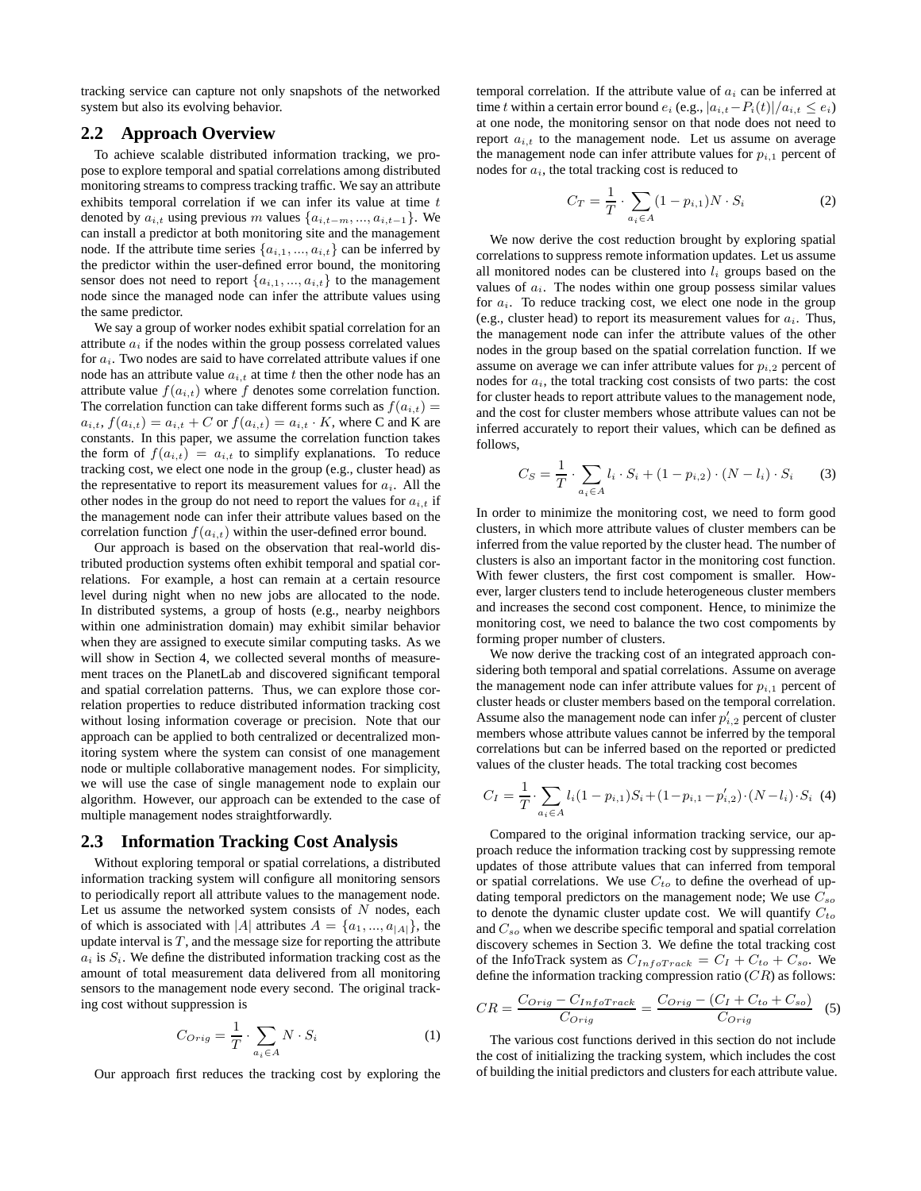tracking service can capture not only snapshots of the networked system but also its evolving behavior.

# **2.2 Approach Overview**

To achieve scalable distributed information tracking, we propose to explore temporal and spatial correlations among distributed monitoring streams to compress tracking traffic. We say an attribute exhibits temporal correlation if we can infer its value at time t denoted by  $a_{i,t}$  using previous m values  $\{a_{i,t-m},...,a_{i,t-1}\}$ . We can install a predictor at both monitoring site and the management node. If the attribute time series  $\{a_{i,1},...,a_{i,t}\}$  can be inferred by the predictor within the user-defined error bound, the monitoring sensor does not need to report  $\{a_{i,1},...,a_{i,t}\}$  to the management node since the managed node can infer the attribute values using the same predictor.

We say a group of worker nodes exhibit spatial correlation for an attribute  $a_i$  if the nodes within the group possess correlated values for  $a_i$ . Two nodes are said to have correlated attribute values if one node has an attribute value  $a_{i,t}$  at time t then the other node has an attribute value  $f(a_{i,t})$  where f denotes some correlation function. The correlation function can take different forms such as  $f(a_{i,t}) =$  $a_{i,t}$ ,  $f(a_{i,t}) = a_{i,t} + C$  or  $f(a_{i,t}) = a_{i,t} \cdot K$ , where C and K are constants. In this paper, we assume the correlation function takes the form of  $f(a_{i,t}) = a_{i,t}$  to simplify explanations. To reduce tracking cost, we elect one node in the group (e.g., cluster head) as the representative to report its measurement values for  $a_i$ . All the other nodes in the group do not need to report the values for  $a_{i,t}$  if the management node can infer their attribute values based on the correlation function  $f(a_{i,t})$  within the user-defined error bound.

Our approach is based on the observation that real-world distributed production systems often exhibit temporal and spatial correlations. For example, a host can remain at a certain resource level during night when no new jobs are allocated to the node. In distributed systems, a group of hosts (e.g., nearby neighbors within one administration domain) may exhibit similar behavior when they are assigned to execute similar computing tasks. As we will show in Section 4, we collected several months of measurement traces on the PlanetLab and discovered significant temporal and spatial correlation patterns. Thus, we can explore those correlation properties to reduce distributed information tracking cost without losing information coverage or precision. Note that our approach can be applied to both centralized or decentralized monitoring system where the system can consist of one management node or multiple collaborative management nodes. For simplicity, we will use the case of single management node to explain our algorithm. However, our approach can be extended to the case of multiple management nodes straightforwardly.

# **2.3 Information Tracking Cost Analysis**

Without exploring temporal or spatial correlations, a distributed information tracking system will configure all monitoring sensors to periodically report all attribute values to the management node. Let us assume the networked system consists of  $N$  nodes, each of which is associated with |A| attributes  $A = \{a_1, ..., a_{|A|}\}\$ , the update interval is  $T$ , and the message size for reporting the attribute  $a_i$  is  $S_i$ . We define the distributed information tracking cost as the amount of total measurement data delivered from all monitoring sensors to the management node every second. The original tracking cost without suppression is

$$
C_{Orig} = \frac{1}{T} \cdot \sum_{a_i \in A} N \cdot S_i \tag{1}
$$

Our approach first reduces the tracking cost by exploring the

temporal correlation. If the attribute value of  $a_i$  can be inferred at time t within a certain error bound  $e_i$  (e.g.,  $|a_{i,t}-P_i(t)|/a_{i,t} \le e_i$ ) at one node, the monitoring sensor on that node does not need to report  $a_{i,t}$  to the management node. Let us assume on average the management node can infer attribute values for  $p_{i,1}$  percent of nodes for  $a_i$ , the total tracking cost is reduced to

$$
C_T = \frac{1}{T} \cdot \sum_{a_i \in A} (1 - p_{i,1}) N \cdot S_i \tag{2}
$$

We now derive the cost reduction brought by exploring spatial correlations to suppress remote information updates. Let us assume all monitored nodes can be clustered into  $l_i$  groups based on the values of  $a_i$ . The nodes within one group possess similar values for  $a_i$ . To reduce tracking cost, we elect one node in the group (e.g., cluster head) to report its measurement values for  $a_i$ . Thus, the management node can infer the attribute values of the other nodes in the group based on the spatial correlation function. If we assume on average we can infer attribute values for  $p_{i,2}$  percent of nodes for  $a_i$ , the total tracking cost consists of two parts: the cost for cluster heads to report attribute values to the management node, and the cost for cluster members whose attribute values can not be inferred accurately to report their values, which can be defined as follows,

$$
C_S = \frac{1}{T} \cdot \sum_{a_i \in A} l_i \cdot S_i + (1 - p_{i,2}) \cdot (N - l_i) \cdot S_i \tag{3}
$$

In order to minimize the monitoring cost, we need to form good clusters, in which more attribute values of cluster members can be inferred from the value reported by the cluster head. The number of clusters is also an important factor in the monitoring cost function. With fewer clusters, the first cost compoment is smaller. However, larger clusters tend to include heterogeneous cluster members and increases the second cost component. Hence, to minimize the monitoring cost, we need to balance the two cost compoments by forming proper number of clusters.

We now derive the tracking cost of an integrated approach considering both temporal and spatial correlations. Assume on average the management node can infer attribute values for  $p_{i,1}$  percent of cluster heads or cluster members based on the temporal correlation. Assume also the management node can infer  $p'_{i,2}$  percent of cluster members whose attribute values cannot be inferred by the temporal correlations but can be inferred based on the reported or predicted values of the cluster heads. The total tracking cost becomes

$$
C_I = \frac{1}{T} \cdot \sum_{a_i \in A} l_i (1 - p_{i,1}) S_i + (1 - p_{i,1} - p'_{i,2}) \cdot (N - l_i) \cdot S_i
$$
 (4)

Compared to the original information tracking service, our approach reduce the information tracking cost by suppressing remote updates of those attribute values that can inferred from temporal or spatial correlations. We use  $C_{to}$  to define the overhead of updating temporal predictors on the management node; We use  $C_{so}$ to denote the dynamic cluster update cost. We will quantify  $C_{to}$ and  $C_{so}$  when we describe specific temporal and spatial correlation discovery schemes in Section 3. We define the total tracking cost of the InfoTrack system as  $C_{InfoTrack} = C_I + C_{to} + C_{so}$ . We define the information tracking compression ratio  $(CR)$  as follows:

$$
CR = \frac{C_{Orig} - C_{InfoTrack}}{C_{Orig}} = \frac{C_{Orig} - (C_I + C_{to} + C_{so})}{C_{Orig}} \quad (5)
$$

The various cost functions derived in this section do not include the cost of initializing the tracking system, which includes the cost of building the initial predictors and clusters for each attribute value.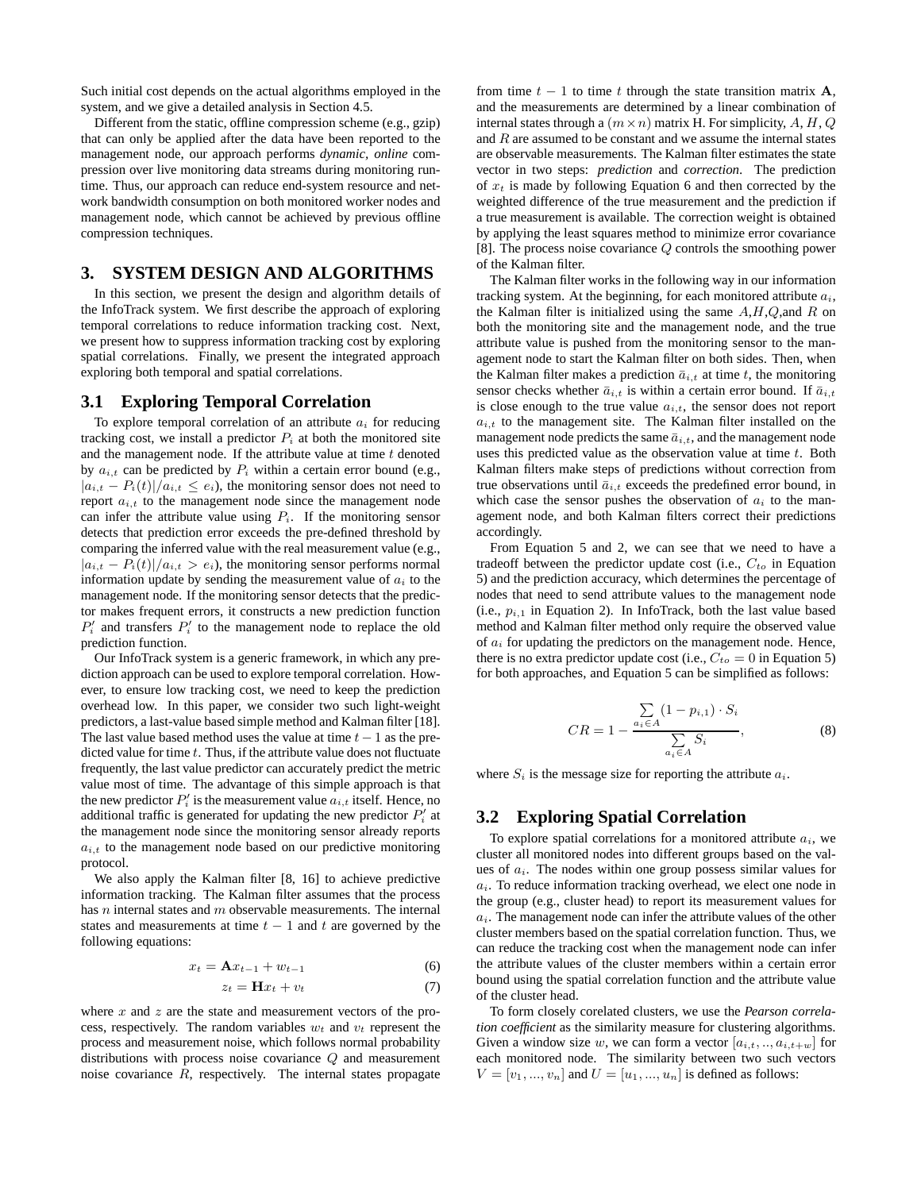Such initial cost depends on the actual algorithms employed in the system, and we give a detailed analysis in Section 4.5.

Different from the static, offline compression scheme (e.g., gzip) that can only be applied after the data have been reported to the management node, our approach performs *dynamic, online* compression over live monitoring data streams during monitoring runtime. Thus, our approach can reduce end-system resource and network bandwidth consumption on both monitored worker nodes and management node, which cannot be achieved by previous offline compression techniques.

# **3. SYSTEM DESIGN AND ALGORITHMS**

In this section, we present the design and algorithm details of the InfoTrack system. We first describe the approach of exploring temporal correlations to reduce information tracking cost. Next, we present how to suppress information tracking cost by exploring spatial correlations. Finally, we present the integrated approach exploring both temporal and spatial correlations.

#### **3.1 Exploring Temporal Correlation**

To explore temporal correlation of an attribute  $a_i$  for reducing tracking cost, we install a predictor  $P_i$  at both the monitored site and the management node. If the attribute value at time  $t$  denoted by  $a_{i,t}$  can be predicted by  $P_i$  within a certain error bound (e.g.,  $|a_{i,t} - P_i(t)|/a_{i,t} \leq e_i$ , the monitoring sensor does not need to report  $a_{i,t}$  to the management node since the management node can infer the attribute value using  $P_i$ . If the monitoring sensor detects that prediction error exceeds the pre-defined threshold by comparing the inferred value with the real measurement value (e.g.,  $|a_{i,t} - P_i(t)|/a_{i,t} > e_i$ , the monitoring sensor performs normal information update by sending the measurement value of  $a_i$  to the management node. If the monitoring sensor detects that the predictor makes frequent errors, it constructs a new prediction function  $P'_i$  and transfers  $P'_i$  to the management node to replace the old prediction function.

Our InfoTrack system is a generic framework, in which any prediction approach can be used to explore temporal correlation. However, to ensure low tracking cost, we need to keep the prediction overhead low. In this paper, we consider two such light-weight predictors, a last-value based simple method and Kalman filter [18]. The last value based method uses the value at time  $t - 1$  as the predicted value for time  $t$ . Thus, if the attribute value does not fluctuate frequently, the last value predictor can accurately predict the metric value most of time. The advantage of this simple approach is that the new predictor  $P'_i$  is the measurement value  $a_{i,t}$  itself. Hence, no additional traffic is generated for updating the new predictor  $P'_i$  at the management node since the monitoring sensor already reports  $a_{i,t}$  to the management node based on our predictive monitoring protocol.

We also apply the Kalman filter [8, 16] to achieve predictive information tracking. The Kalman filter assumes that the process has  $n$  internal states and  $m$  observable measurements. The internal states and measurements at time  $t - 1$  and t are governed by the following equations:

$$
x_t = \mathbf{A}x_{t-1} + w_{t-1} \tag{6}
$$

$$
z_t = \mathbf{H}x_t + v_t \tag{7}
$$

where  $x$  and  $z$  are the state and measurement vectors of the process, respectively. The random variables  $w_t$  and  $v_t$  represent the process and measurement noise, which follows normal probability distributions with process noise covariance Q and measurement noise covariance  $R$ , respectively. The internal states propagate

from time  $t - 1$  to time t through the state transition matrix A, and the measurements are determined by a linear combination of internal states through a  $(m \times n)$  matrix H. For simplicity, A, H, Q and  $R$  are assumed to be constant and we assume the internal states are observable measurements. The Kalman filter estimates the state vector in two steps: *prediction* and *correction*. The prediction of  $x_t$  is made by following Equation 6 and then corrected by the weighted difference of the true measurement and the prediction if a true measurement is available. The correction weight is obtained by applying the least squares method to minimize error covariance [8]. The process noise covariance Q controls the smoothing power of the Kalman filter.

The Kalman filter works in the following way in our information tracking system. At the beginning, for each monitored attribute  $a_i$ , the Kalman filter is initialized using the same  $A, H, Q$ , and R on both the monitoring site and the management node, and the true attribute value is pushed from the monitoring sensor to the management node to start the Kalman filter on both sides. Then, when the Kalman filter makes a prediction  $\bar{a}_{i,t}$  at time t, the monitoring sensor checks whether  $\bar{a}_{i,t}$  is within a certain error bound. If  $\bar{a}_{i,t}$ is close enough to the true value  $a_{i,t}$ , the sensor does not report  $a_{i,t}$  to the management site. The Kalman filter installed on the management node predicts the same  $\bar{a}_{i,t}$ , and the management node uses this predicted value as the observation value at time  $t$ . Both Kalman filters make steps of predictions without correction from true observations until  $\bar{a}_{i,t}$  exceeds the predefined error bound, in which case the sensor pushes the observation of  $a_i$  to the management node, and both Kalman filters correct their predictions accordingly.

From Equation 5 and 2, we can see that we need to have a tradeoff between the predictor update cost (i.e.,  $C_{to}$  in Equation 5) and the prediction accuracy, which determines the percentage of nodes that need to send attribute values to the management node (i.e.,  $p_{i,1}$  in Equation 2). In InfoTrack, both the last value based method and Kalman filter method only require the observed value of  $a_i$  for updating the predictors on the management node. Hence, there is no extra predictor update cost (i.e.,  $C_{to} = 0$  in Equation 5) for both approaches, and Equation 5 can be simplified as follows:

$$
CR = 1 - \frac{\sum_{a_i \in A} (1 - p_{i,1}) \cdot S_i}{\sum_{a_i \in A} S_i},
$$
 (8)

where  $S_i$  is the message size for reporting the attribute  $a_i$ .

# **3.2 Exploring Spatial Correlation**

To explore spatial correlations for a monitored attribute  $a_i$ , we cluster all monitored nodes into different groups based on the values of  $a_i$ . The nodes within one group possess similar values for  $a_i$ . To reduce information tracking overhead, we elect one node in the group (e.g., cluster head) to report its measurement values for  $a_i$ . The management node can infer the attribute values of the other cluster members based on the spatial correlation function. Thus, we can reduce the tracking cost when the management node can infer the attribute values of the cluster members within a certain error bound using the spatial correlation function and the attribute value of the cluster head.

To form closely corelated clusters, we use the *Pearson correlation coefficient* as the similarity measure for clustering algorithms. Given a window size w, we can form a vector  $[a_{i,t},..., a_{i,t+w}]$  for each monitored node. The similarity between two such vectors  $V = [v_1, ..., v_n]$  and  $U = [u_1, ..., u_n]$  is defined as follows: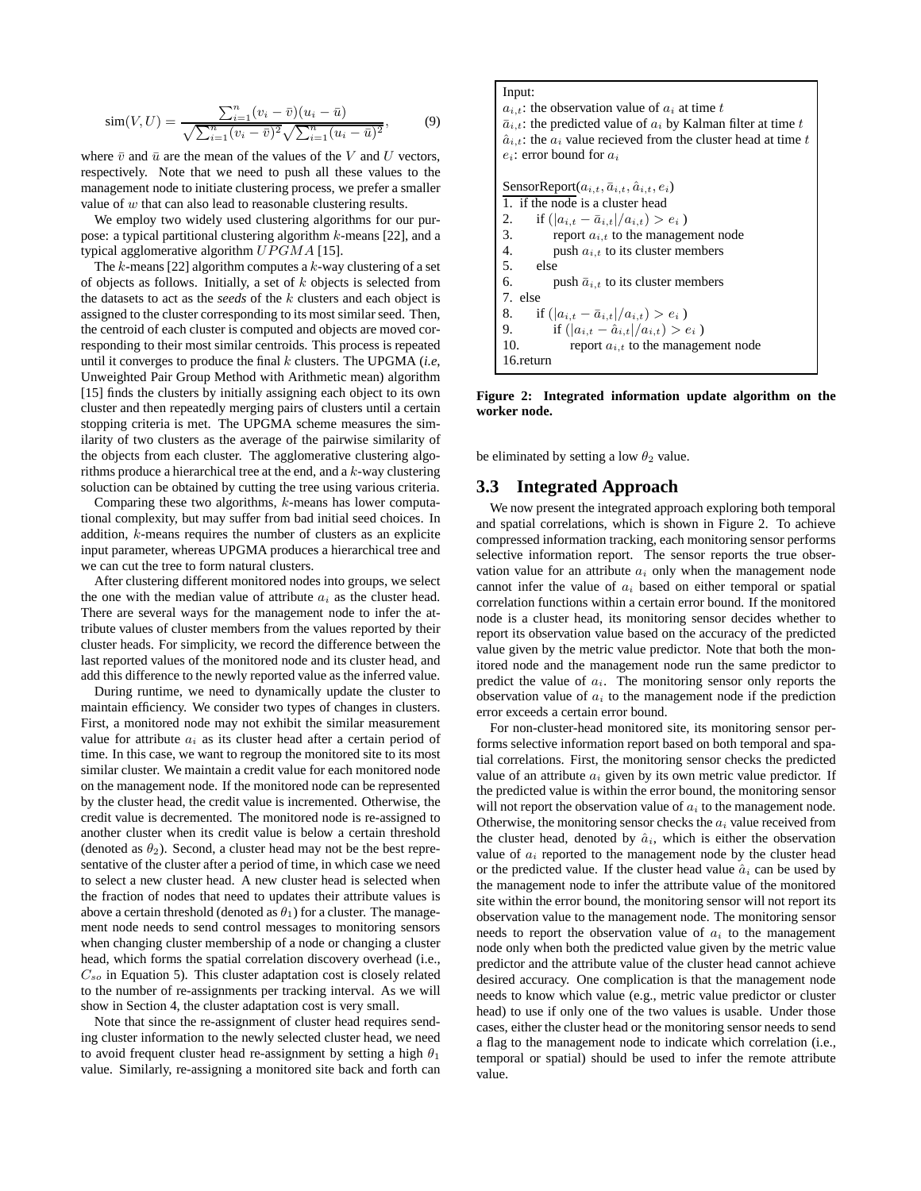$$
\text{sim}(V, U) = \frac{\sum_{i=1}^{n} (v_i - \bar{v})(u_i - \bar{u})}{\sqrt{\sum_{i=1}^{n} (v_i - \bar{v})^2} \sqrt{\sum_{i=1}^{n} (u_i - \bar{u})^2}},\tag{9}
$$

where  $\bar{v}$  and  $\bar{u}$  are the mean of the values of the V and U vectors, respectively. Note that we need to push all these values to the management node to initiate clustering process, we prefer a smaller value of  $w$  that can also lead to reasonable clustering results.

We employ two widely used clustering algorithms for our purpose: a typical partitional clustering algorithm  $k$ -means [22], and a typical agglomerative algorithm  $UPGMA$  [15].

The  $k$ -means [22] algorithm computes a  $k$ -way clustering of a set of objects as follows. Initially, a set of  $k$  objects is selected from the datasets to act as the *seeds* of the k clusters and each object is assigned to the cluster corresponding to its most similar seed. Then, the centroid of each cluster is computed and objects are moved corresponding to their most similar centroids. This process is repeated until it converges to produce the final k clusters. The UPGMA (*i.e*, Unweighted Pair Group Method with Arithmetic mean) algorithm [15] finds the clusters by initially assigning each object to its own cluster and then repeatedly merging pairs of clusters until a certain stopping criteria is met. The UPGMA scheme measures the similarity of two clusters as the average of the pairwise similarity of the objects from each cluster. The agglomerative clustering algorithms produce a hierarchical tree at the end, and a k-way clustering soluction can be obtained by cutting the tree using various criteria.

Comparing these two algorithms, k-means has lower computational complexity, but may suffer from bad initial seed choices. In addition, k-means requires the number of clusters as an explicite input parameter, whereas UPGMA produces a hierarchical tree and we can cut the tree to form natural clusters.

After clustering different monitored nodes into groups, we select the one with the median value of attribute  $a_i$  as the cluster head. There are several ways for the management node to infer the attribute values of cluster members from the values reported by their cluster heads. For simplicity, we record the difference between the last reported values of the monitored node and its cluster head, and add this difference to the newly reported value as the inferred value.

During runtime, we need to dynamically update the cluster to maintain efficiency. We consider two types of changes in clusters. First, a monitored node may not exhibit the similar measurement value for attribute  $a_i$  as its cluster head after a certain period of time. In this case, we want to regroup the monitored site to its most similar cluster. We maintain a credit value for each monitored node on the management node. If the monitored node can be represented by the cluster head, the credit value is incremented. Otherwise, the credit value is decremented. The monitored node is re-assigned to another cluster when its credit value is below a certain threshold (denoted as  $\theta_2$ ). Second, a cluster head may not be the best representative of the cluster after a period of time, in which case we need to select a new cluster head. A new cluster head is selected when the fraction of nodes that need to updates their attribute values is above a certain threshold (denoted as  $\theta_1$ ) for a cluster. The management node needs to send control messages to monitoring sensors when changing cluster membership of a node or changing a cluster head, which forms the spatial correlation discovery overhead (i.e.,  $C_{so}$  in Equation 5). This cluster adaptation cost is closely related to the number of re-assignments per tracking interval. As we will show in Section 4, the cluster adaptation cost is very small.

Note that since the re-assignment of cluster head requires sending cluster information to the newly selected cluster head, we need to avoid frequent cluster head re-assignment by setting a high  $\theta_1$ value. Similarly, re-assigning a monitored site back and forth can

Input:  
\n
$$
a_{i,t}
$$
: the observation value of  $a_i$  at time  $t$   
\n $\bar{a}_{i,t}$ : the predicted value of  $a_i$  by Kalman filter at time  $t$   
\n $\hat{a}_{i,t}$ : the  $a_i$  value received from the cluster head at time  $t$   
\n $e_i$ : error bound for  $a_i$   
\n  
\nSensorReport $(a_{i,t}, \bar{a}_{i,t}, \hat{a}_{i,t}, e_i)$   
\n1. if the node is a cluster head  
\n2. if  $(|a_{i,t} - \bar{a}_{i,t}|/a_{i,t}) > e_i$   
\n3. report  $a_{i,t}$  to the management node  
\n4. push  $a_{i,t}$  to its cluster members  
\n5. else  
\n6. push  $\bar{a}_{i,t}$  to its cluster members  
\n7. else  
\n8. if  $(|a_{i,t} - \bar{a}_{i,t}|/a_{i,t}) > e_i$   
\n9. if  $(|a_{i,t} - \hat{a}_{i,t}|/a_{i,t}) > e_i$   
\n10. report  $a_{i,t}$  to the management node  
\n16.return

**Figure 2: Integrated information update algorithm on the worker node.**

be eliminated by setting a low  $\theta_2$  value.

# **3.3 Integrated Approach**

We now present the integrated approach exploring both temporal and spatial correlations, which is shown in Figure 2. To achieve compressed information tracking, each monitoring sensor performs selective information report. The sensor reports the true observation value for an attribute  $a_i$  only when the management node cannot infer the value of  $a_i$  based on either temporal or spatial correlation functions within a certain error bound. If the monitored node is a cluster head, its monitoring sensor decides whether to report its observation value based on the accuracy of the predicted value given by the metric value predictor. Note that both the monitored node and the management node run the same predictor to predict the value of  $a_i$ . The monitoring sensor only reports the observation value of  $a_i$  to the management node if the prediction error exceeds a certain error bound.

For non-cluster-head monitored site, its monitoring sensor performs selective information report based on both temporal and spatial correlations. First, the monitoring sensor checks the predicted value of an attribute  $a_i$  given by its own metric value predictor. If the predicted value is within the error bound, the monitoring sensor will not report the observation value of  $a_i$  to the management node. Otherwise, the monitoring sensor checks the  $a_i$  value received from the cluster head, denoted by  $\hat{a}_i$ , which is either the observation value of  $a_i$  reported to the management node by the cluster head or the predicted value. If the cluster head value  $\hat{a}_i$  can be used by the management node to infer the attribute value of the monitored site within the error bound, the monitoring sensor will not report its observation value to the management node. The monitoring sensor needs to report the observation value of  $a_i$  to the management node only when both the predicted value given by the metric value predictor and the attribute value of the cluster head cannot achieve desired accuracy. One complication is that the management node needs to know which value (e.g., metric value predictor or cluster head) to use if only one of the two values is usable. Under those cases, either the cluster head or the monitoring sensor needs to send a flag to the management node to indicate which correlation (i.e., temporal or spatial) should be used to infer the remote attribute value.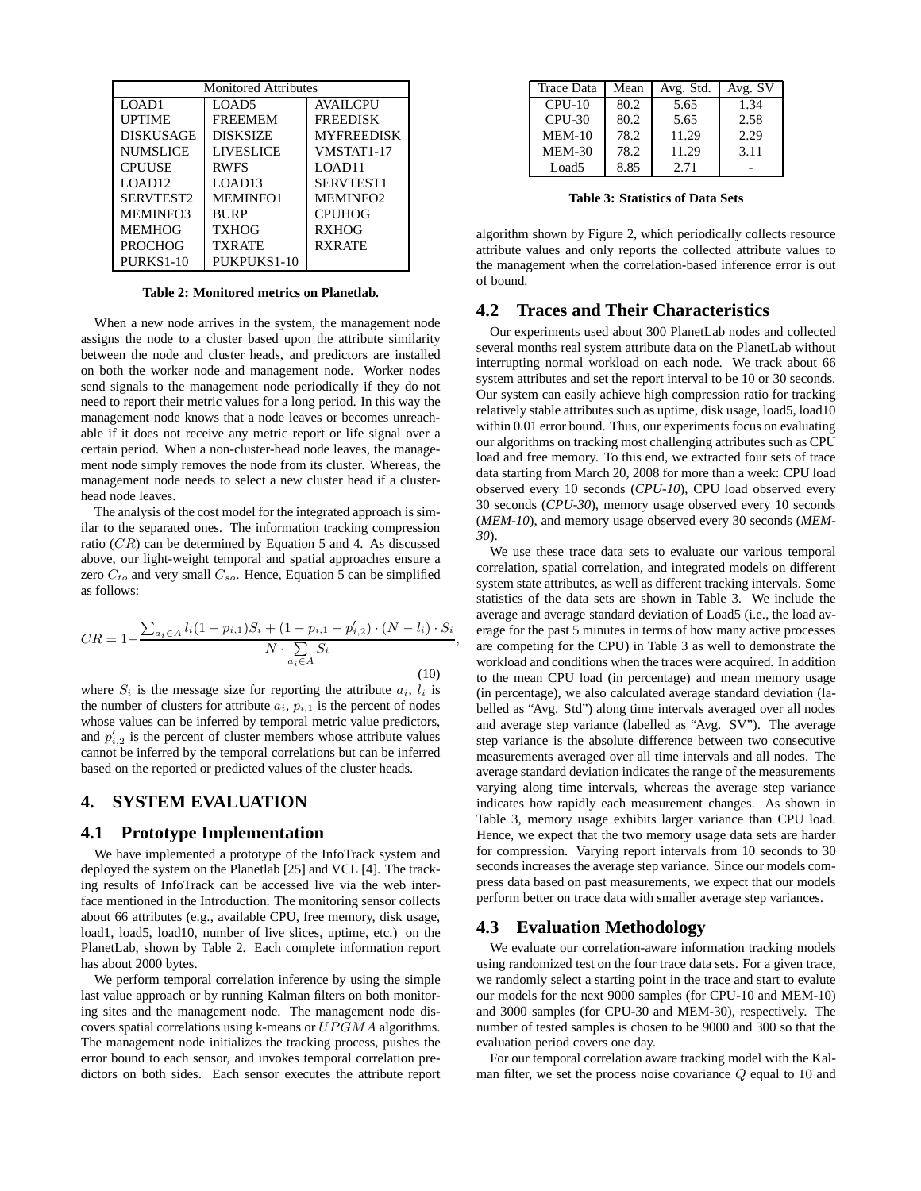| <b>Monitored Attributes</b> |                  |                   |  |  |
|-----------------------------|------------------|-------------------|--|--|
| LOAD1                       | LOAD5            | <b>AVAILCPU</b>   |  |  |
| <b>UPTIME</b>               | <b>FREEMEM</b>   | <b>FREEDISK</b>   |  |  |
| <b>DISKUSAGE</b>            | <b>DISKSIZE</b>  | <b>MYFREEDISK</b> |  |  |
| <b>NUMSLICE</b>             | <b>LIVESLICE</b> | VMSTAT1-17        |  |  |
| <b>CPUUSE</b>               | <b>RWFS</b>      | LOAD11            |  |  |
| LOAD <sub>12</sub>          | LOAD13           | SERVTEST1         |  |  |
| <b>SERVTEST2</b>            | <b>MEMINFO1</b>  | <b>MEMINFO2</b>   |  |  |
| <b>MEMINFO3</b>             | <b>BURP</b>      | <b>CPUHOG</b>     |  |  |
| <b>MEMHOG</b>               | <b>TXHOG</b>     | <b>RXHOG</b>      |  |  |
| PROCHOG                     | <b>TXRATE</b>    | <b>RXRATE</b>     |  |  |
| PURKS1-10                   | PUKPUKS1-10      |                   |  |  |

**Table 2: Monitored metrics on Planetlab.**

When a new node arrives in the system, the management node assigns the node to a cluster based upon the attribute similarity between the node and cluster heads, and predictors are installed on both the worker node and management node. Worker nodes send signals to the management node periodically if they do not need to report their metric values for a long period. In this way the management node knows that a node leaves or becomes unreachable if it does not receive any metric report or life signal over a certain period. When a non-cluster-head node leaves, the management node simply removes the node from its cluster. Whereas, the management node needs to select a new cluster head if a clusterhead node leaves.

The analysis of the cost model for the integrated approach is similar to the separated ones. The information tracking compression ratio  $(CR)$  can be determined by Equation 5 and 4. As discussed above, our light-weight temporal and spatial approaches ensure a zero  $C_{to}$  and very small  $C_{so}$ . Hence, Equation 5 can be simplified as follows:

$$
CR = 1 - \frac{\sum_{a_i \in A} l_i (1 - p_{i,1}) S_i + (1 - p_{i,1} - p'_{i,2}) \cdot (N - l_i) \cdot S_i}{N \cdot \sum_{a_i \in A} S_i},
$$
\n(10)

where  $S_i$  is the message size for reporting the attribute  $a_i$ ,  $l_i$  is the number of clusters for attribute  $a_i$ ,  $p_{i,1}$  is the percent of nodes whose values can be inferred by temporal metric value predictors, and  $p'_{i,2}$  is the percent of cluster members whose attribute values cannot be inferred by the temporal correlations but can be inferred based on the reported or predicted values of the cluster heads.

# **4. SYSTEM EVALUATION**

#### **4.1 Prototype Implementation**

We have implemented a prototype of the InfoTrack system and deployed the system on the Planetlab [25] and VCL [4]. The tracking results of InfoTrack can be accessed live via the web interface mentioned in the Introduction. The monitoring sensor collects about 66 attributes (e.g., available CPU, free memory, disk usage, load1, load5, load10, number of live slices, uptime, etc.) on the PlanetLab, shown by Table 2. Each complete information report has about 2000 bytes.

We perform temporal correlation inference by using the simple last value approach or by running Kalman filters on both monitoring sites and the management node. The management node discovers spatial correlations using k-means or  $UPGMA$  algorithms. The management node initializes the tracking process, pushes the error bound to each sensor, and invokes temporal correlation predictors on both sides. Each sensor executes the attribute report

| <b>Trace Data</b> | Mean | Avg. Std. | Avg. SV |
|-------------------|------|-----------|---------|
| $CPUI-10$         | 80.2 | 5.65      | 1.34    |
| $CPIJ-30$         | 80.2 | 5.65      | 2.58    |
| $MEM-10$          | 78.2 | 11.29     | 2.29    |
| $MEM-30$          | 78.2 | 11.29     | 3.11    |
| Load5             | 8.85 | 2.71      |         |

**Table 3: Statistics of Data Sets**

algorithm shown by Figure 2, which periodically collects resource attribute values and only reports the collected attribute values to the management when the correlation-based inference error is out of bound.

## **4.2 Traces and Their Characteristics**

Our experiments used about 300 PlanetLab nodes and collected several months real system attribute data on the PlanetLab without interrupting normal workload on each node. We track about 66 system attributes and set the report interval to be 10 or 30 seconds. Our system can easily achieve high compression ratio for tracking relatively stable attributes such as uptime, disk usage, load5, load10 within 0.01 error bound. Thus, our experiments focus on evaluating our algorithms on tracking most challenging attributes such as CPU load and free memory. To this end, we extracted four sets of trace data starting from March 20, 2008 for more than a week: CPU load observed every 10 seconds (*CPU-10*), CPU load observed every 30 seconds (*CPU-30*), memory usage observed every 10 seconds (*MEM-10*), and memory usage observed every 30 seconds (*MEM-30*).

We use these trace data sets to evaluate our various temporal correlation, spatial correlation, and integrated models on different system state attributes, as well as different tracking intervals. Some statistics of the data sets are shown in Table 3. We include the average and average standard deviation of Load5 (i.e., the load average for the past 5 minutes in terms of how many active processes are competing for the CPU) in Table 3 as well to demonstrate the workload and conditions when the traces were acquired. In addition to the mean CPU load (in percentage) and mean memory usage (in percentage), we also calculated average standard deviation (labelled as "Avg. Std") along time intervals averaged over all nodes and average step variance (labelled as "Avg. SV"). The average step variance is the absolute difference between two consecutive measurements averaged over all time intervals and all nodes. The average standard deviation indicates the range of the measurements varying along time intervals, whereas the average step variance indicates how rapidly each measurement changes. As shown in Table 3, memory usage exhibits larger variance than CPU load. Hence, we expect that the two memory usage data sets are harder for compression. Varying report intervals from 10 seconds to 30 seconds increases the average step variance. Since our models compress data based on past measurements, we expect that our models perform better on trace data with smaller average step variances.

#### **4.3 Evaluation Methodology**

We evaluate our correlation-aware information tracking models using randomized test on the four trace data sets. For a given trace, we randomly select a starting point in the trace and start to evalute our models for the next 9000 samples (for CPU-10 and MEM-10) and 3000 samples (for CPU-30 and MEM-30), respectively. The number of tested samples is chosen to be 9000 and 300 so that the evaluation period covers one day.

For our temporal correlation aware tracking model with the Kalman filter, we set the process noise covariance Q equal to 10 and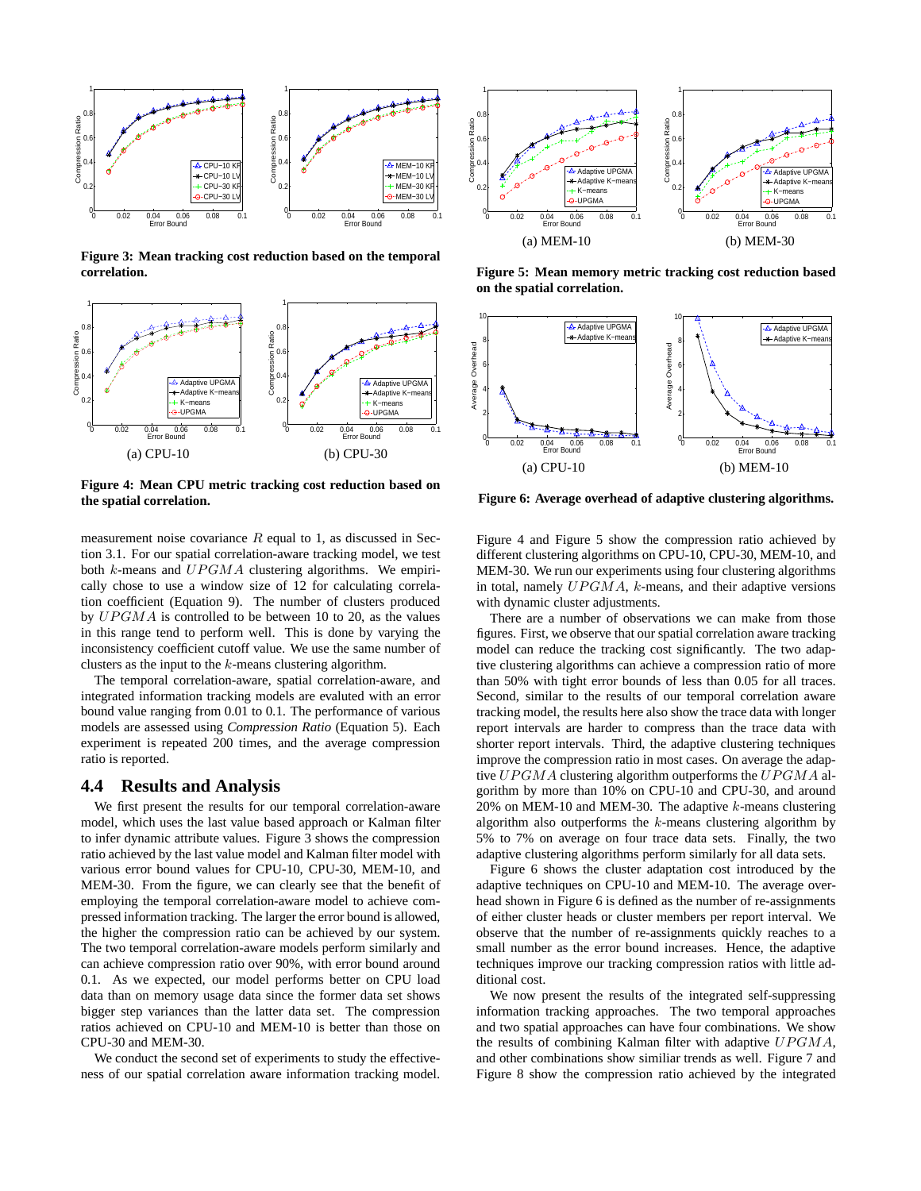

**Figure 3: Mean tracking cost reduction based on the temporal correlation.**



**Figure 4: Mean CPU metric tracking cost reduction based on the spatial correlation.**

measurement noise covariance  $R$  equal to 1, as discussed in Section 3.1. For our spatial correlation-aware tracking model, we test both  $k$ -means and  $UPGMA$  clustering algorithms. We empirically chose to use a window size of 12 for calculating correlation coefficient (Equation 9). The number of clusters produced by  $UPGMA$  is controlled to be between 10 to 20, as the values in this range tend to perform well. This is done by varying the inconsistency coefficient cutoff value. We use the same number of clusters as the input to the k-means clustering algorithm.

The temporal correlation-aware, spatial correlation-aware, and integrated information tracking models are evaluted with an error bound value ranging from 0.01 to 0.1. The performance of various models are assessed using *Compression Ratio* (Equation 5). Each experiment is repeated 200 times, and the average compression ratio is reported.

# **4.4 Results and Analysis**

We first present the results for our temporal correlation-aware model, which uses the last value based approach or Kalman filter to infer dynamic attribute values. Figure 3 shows the compression ratio achieved by the last value model and Kalman filter model with various error bound values for CPU-10, CPU-30, MEM-10, and MEM-30. From the figure, we can clearly see that the benefit of employing the temporal correlation-aware model to achieve compressed information tracking. The larger the error bound is allowed, the higher the compression ratio can be achieved by our system. The two temporal correlation-aware models perform similarly and can achieve compression ratio over 90%, with error bound around 0.1. As we expected, our model performs better on CPU load data than on memory usage data since the former data set shows bigger step variances than the latter data set. The compression ratios achieved on CPU-10 and MEM-10 is better than those on CPU-30 and MEM-30.

We conduct the second set of experiments to study the effectiveness of our spatial correlation aware information tracking model.



**Figure 5: Mean memory metric tracking cost reduction based on the spatial correlation.**



**Figure 6: Average overhead of adaptive clustering algorithms.**

Figure 4 and Figure 5 show the compression ratio achieved by different clustering algorithms on CPU-10, CPU-30, MEM-10, and MEM-30. We run our experiments using four clustering algorithms in total, namely  $UPGMA$ , k-means, and their adaptive versions with dynamic cluster adjustments.

There are a number of observations we can make from those figures. First, we observe that our spatial correlation aware tracking model can reduce the tracking cost significantly. The two adaptive clustering algorithms can achieve a compression ratio of more than 50% with tight error bounds of less than 0.05 for all traces. Second, similar to the results of our temporal correlation aware tracking model, the results here also show the trace data with longer report intervals are harder to compress than the trace data with shorter report intervals. Third, the adaptive clustering techniques improve the compression ratio in most cases. On average the adaptive  $UPGMA$  clustering algorithm outperforms the  $UPGMA$  algorithm by more than 10% on CPU-10 and CPU-30, and around 20% on MEM-10 and MEM-30. The adaptive k-means clustering algorithm also outperforms the  $k$ -means clustering algorithm by 5% to 7% on average on four trace data sets. Finally, the two adaptive clustering algorithms perform similarly for all data sets.

Figure 6 shows the cluster adaptation cost introduced by the adaptive techniques on CPU-10 and MEM-10. The average overhead shown in Figure 6 is defined as the number of re-assignments of either cluster heads or cluster members per report interval. We observe that the number of re-assignments quickly reaches to a small number as the error bound increases. Hence, the adaptive techniques improve our tracking compression ratios with little additional cost.

We now present the results of the integrated self-suppressing information tracking approaches. The two temporal approaches and two spatial approaches can have four combinations. We show the results of combining Kalman filter with adaptive  $UPGMA$ , and other combinations show similiar trends as well. Figure 7 and Figure 8 show the compression ratio achieved by the integrated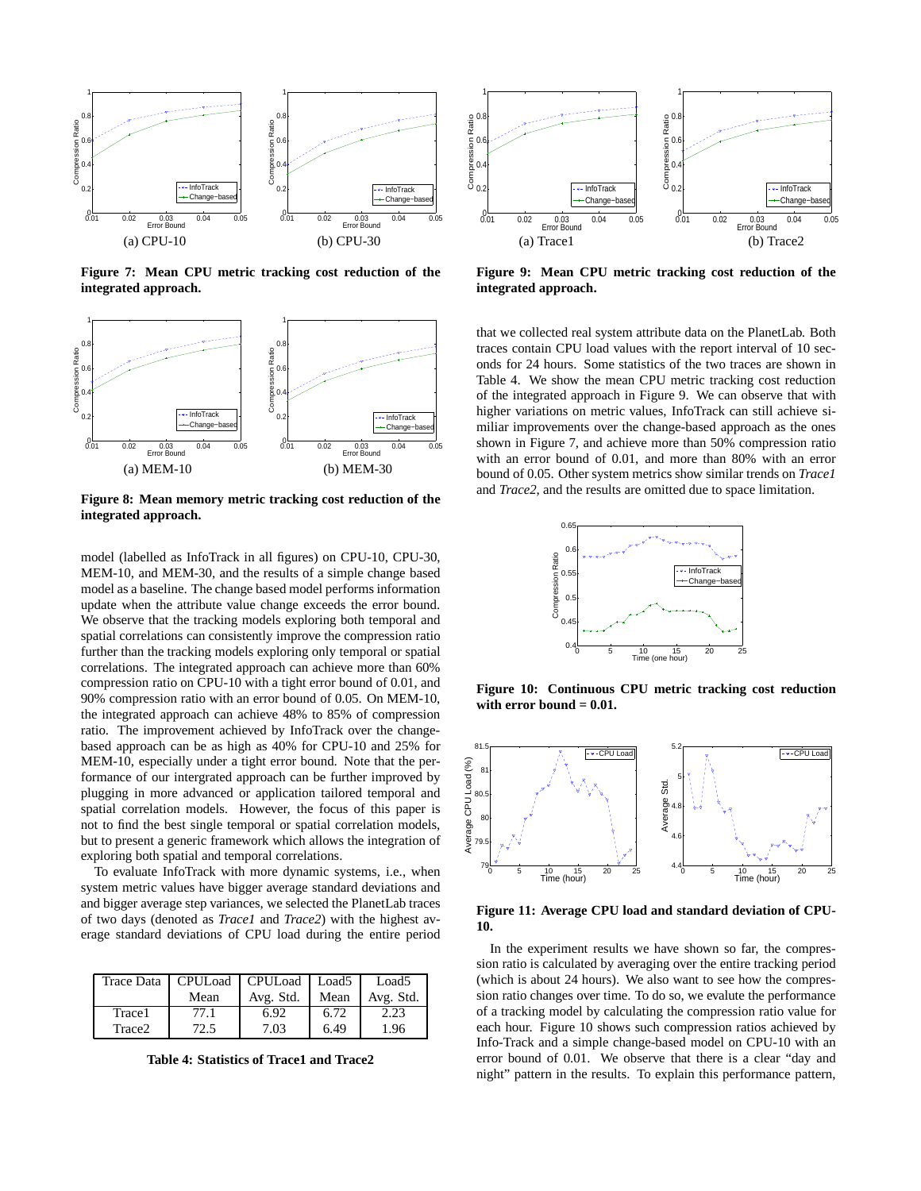

**Figure 7: Mean CPU metric tracking cost reduction of the integrated approach.**



**Figure 8: Mean memory metric tracking cost reduction of the integrated approach.**

model (labelled as InfoTrack in all figures) on CPU-10, CPU-30, MEM-10, and MEM-30, and the results of a simple change based model as a baseline. The change based model performs information update when the attribute value change exceeds the error bound. We observe that the tracking models exploring both temporal and spatial correlations can consistently improve the compression ratio further than the tracking models exploring only temporal or spatial correlations. The integrated approach can achieve more than 60% compression ratio on CPU-10 with a tight error bound of 0.01, and 90% compression ratio with an error bound of 0.05. On MEM-10, the integrated approach can achieve 48% to 85% of compression ratio. The improvement achieved by InfoTrack over the changebased approach can be as high as 40% for CPU-10 and 25% for MEM-10, especially under a tight error bound. Note that the performance of our intergrated approach can be further improved by plugging in more advanced or application tailored temporal and spatial correlation models. However, the focus of this paper is not to find the best single temporal or spatial correlation models, but to present a generic framework which allows the integration of exploring both spatial and temporal correlations.

To evaluate InfoTrack with more dynamic systems, i.e., when system metric values have bigger average standard deviations and and bigger average step variances, we selected the PlanetLab traces of two days (denoted as *Trace1* and *Trace2*) with the highest average standard deviations of CPU load during the entire period

|        | Trace Data   CPULoad   CPULoad   Load5 |           |      | Load <sub>5</sub> |
|--------|----------------------------------------|-----------|------|-------------------|
|        | Mean                                   | Avg. Std. | Mean | Avg. Std.         |
| Trace1 | 77.1                                   | 6.92      | 6.72 | 2.23              |
| Trace2 | 72.5                                   | 7.03      | 6.49 | 1.96              |

**Table 4: Statistics of Trace1 and Trace2**



**Figure 9: Mean CPU metric tracking cost reduction of the integrated approach.**

that we collected real system attribute data on the PlanetLab. Both traces contain CPU load values with the report interval of 10 seconds for 24 hours. Some statistics of the two traces are shown in Table 4. We show the mean CPU metric tracking cost reduction of the integrated approach in Figure 9. We can observe that with higher variations on metric values, InfoTrack can still achieve similiar improvements over the change-based approach as the ones shown in Figure 7, and achieve more than 50% compression ratio with an error bound of 0.01, and more than 80% with an error bound of 0.05. Other system metrics show similar trends on *Trace1* and *Trace2*, and the results are omitted due to space limitation.



**Figure 10: Continuous CPU metric tracking cost reduction with error bound = 0.01.**



**Figure 11: Average CPU load and standard deviation of CPU-10.**

In the experiment results we have shown so far, the compression ratio is calculated by averaging over the entire tracking period (which is about 24 hours). We also want to see how the compression ratio changes over time. To do so, we evalute the performance of a tracking model by calculating the compression ratio value for each hour. Figure 10 shows such compression ratios achieved by Info-Track and a simple change-based model on CPU-10 with an error bound of 0.01. We observe that there is a clear "day and night" pattern in the results. To explain this performance pattern,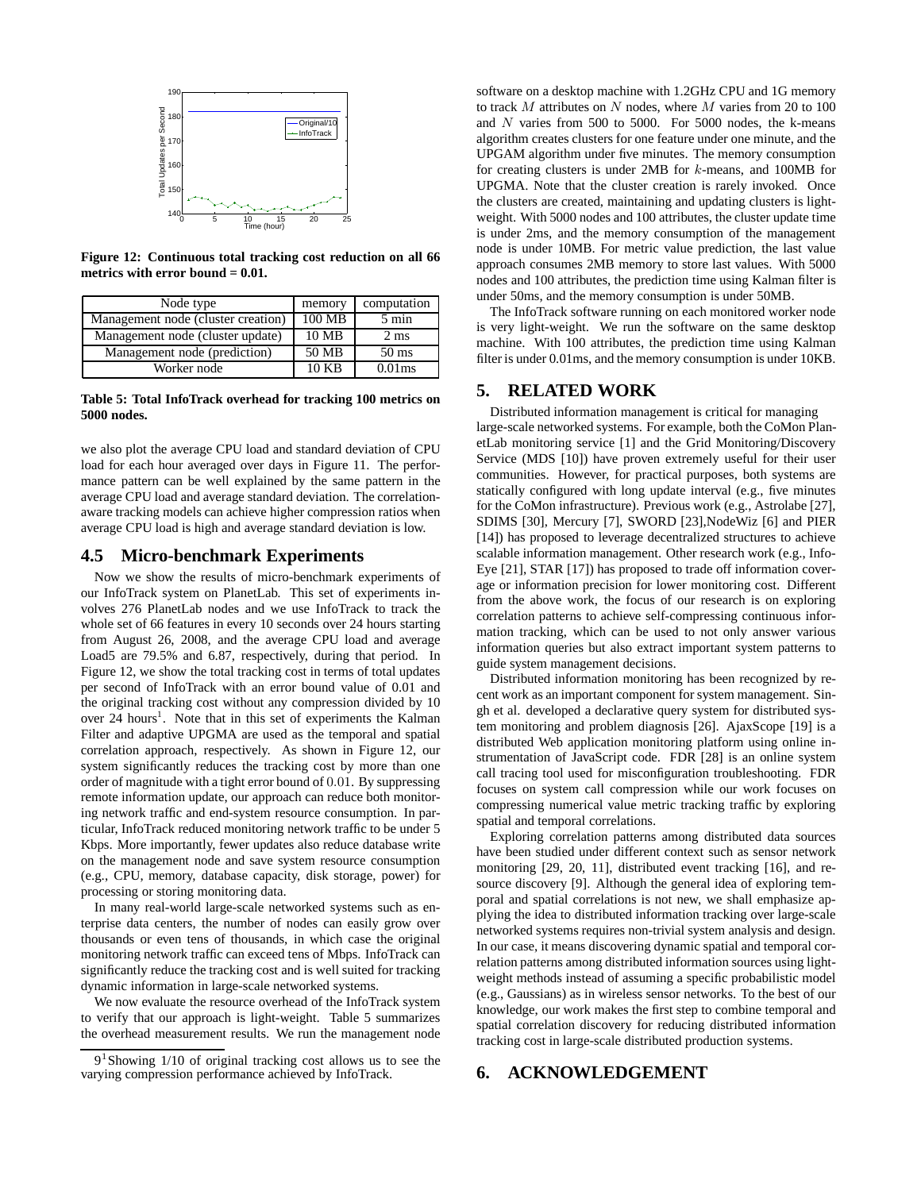

**Figure 12: Continuous total tracking cost reduction on all 66 metrics with error bound = 0.01.**

| Node type                          | memory | computation     |
|------------------------------------|--------|-----------------|
| Management node (cluster creation) | 100 MB | $5 \text{ min}$ |
| Management node (cluster update)   | 10 MB  | $2 \text{ ms}$  |
| Management node (prediction)       | 50 MB  | $50 \text{ ms}$ |
| Worker node                        | 10 KB  | $0.01$ ms       |

**Table 5: Total InfoTrack overhead for tracking 100 metrics on 5000 nodes.**

we also plot the average CPU load and standard deviation of CPU load for each hour averaged over days in Figure 11. The performance pattern can be well explained by the same pattern in the average CPU load and average standard deviation. The correlationaware tracking models can achieve higher compression ratios when average CPU load is high and average standard deviation is low.

#### **4.5 Micro-benchmark Experiments**

Now we show the results of micro-benchmark experiments of our InfoTrack system on PlanetLab. This set of experiments involves 276 PlanetLab nodes and we use InfoTrack to track the whole set of 66 features in every 10 seconds over 24 hours starting from August 26, 2008, and the average CPU load and average Load5 are 79.5% and 6.87, respectively, during that period. In Figure 12, we show the total tracking cost in terms of total updates per second of InfoTrack with an error bound value of 0.01 and the original tracking cost without any compression divided by 10 over 24 hours<sup>1</sup>. Note that in this set of experiments the Kalman Filter and adaptive UPGMA are used as the temporal and spatial correlation approach, respectively. As shown in Figure 12, our system significantly reduces the tracking cost by more than one order of magnitude with a tight error bound of 0.01. By suppressing remote information update, our approach can reduce both monitoring network traffic and end-system resource consumption. In particular, InfoTrack reduced monitoring network traffic to be under 5 Kbps. More importantly, fewer updates also reduce database write on the management node and save system resource consumption (e.g., CPU, memory, database capacity, disk storage, power) for processing or storing monitoring data.

In many real-world large-scale networked systems such as enterprise data centers, the number of nodes can easily grow over thousands or even tens of thousands, in which case the original monitoring network traffic can exceed tens of Mbps. InfoTrack can significantly reduce the tracking cost and is well suited for tracking dynamic information in large-scale networked systems.

We now evaluate the resource overhead of the InfoTrack system to verify that our approach is light-weight. Table 5 summarizes the overhead measurement results. We run the management node

software on a desktop machine with 1.2GHz CPU and 1G memory to track  $M$  attributes on  $N$  nodes, where  $M$  varies from 20 to 100 and  $N$  varies from 500 to 5000. For 5000 nodes, the k-means algorithm creates clusters for one feature under one minute, and the UPGAM algorithm under five minutes. The memory consumption for creating clusters is under 2MB for k-means, and 100MB for UPGMA. Note that the cluster creation is rarely invoked. Once the clusters are created, maintaining and updating clusters is lightweight. With 5000 nodes and 100 attributes, the cluster update time is under 2ms, and the memory consumption of the management node is under 10MB. For metric value prediction, the last value approach consumes 2MB memory to store last values. With 5000 nodes and 100 attributes, the prediction time using Kalman filter is under 50ms, and the memory consumption is under 50MB.

The InfoTrack software running on each monitored worker node is very light-weight. We run the software on the same desktop machine. With 100 attributes, the prediction time using Kalman filter is under 0.01ms, and the memory consumption is under 10KB.

# **5. RELATED WORK**

Distributed information management is critical for managing large-scale networked systems. For example, both the CoMon PlanetLab monitoring service [1] and the Grid Monitoring/Discovery Service (MDS [10]) have proven extremely useful for their user communities. However, for practical purposes, both systems are statically configured with long update interval (e.g., five minutes for the CoMon infrastructure). Previous work (e.g., Astrolabe [27], SDIMS [30], Mercury [7], SWORD [23],NodeWiz [6] and PIER [14]) has proposed to leverage decentralized structures to achieve scalable information management. Other research work (e.g., Info-Eye [21], STAR [17]) has proposed to trade off information coverage or information precision for lower monitoring cost. Different from the above work, the focus of our research is on exploring correlation patterns to achieve self-compressing continuous information tracking, which can be used to not only answer various information queries but also extract important system patterns to guide system management decisions.

Distributed information monitoring has been recognized by recent work as an important component for system management. Singh et al. developed a declarative query system for distributed system monitoring and problem diagnosis [26]. AjaxScope [19] is a distributed Web application monitoring platform using online instrumentation of JavaScript code. FDR [28] is an online system call tracing tool used for misconfiguration troubleshooting. FDR focuses on system call compression while our work focuses on compressing numerical value metric tracking traffic by exploring spatial and temporal correlations.

Exploring correlation patterns among distributed data sources have been studied under different context such as sensor network monitoring [29, 20, 11], distributed event tracking [16], and resource discovery [9]. Although the general idea of exploring temporal and spatial correlations is not new, we shall emphasize applying the idea to distributed information tracking over large-scale networked systems requires non-trivial system analysis and design. In our case, it means discovering dynamic spatial and temporal correlation patterns among distributed information sources using lightweight methods instead of assuming a specific probabilistic model (e.g., Gaussians) as in wireless sensor networks. To the best of our knowledge, our work makes the first step to combine temporal and spatial correlation discovery for reducing distributed information tracking cost in large-scale distributed production systems.

## **6. ACKNOWLEDGEMENT**

<sup>9&</sup>lt;sup>1</sup>Showing 1/10 of original tracking cost allows us to see the varying compression performance achieved by InfoTrack.